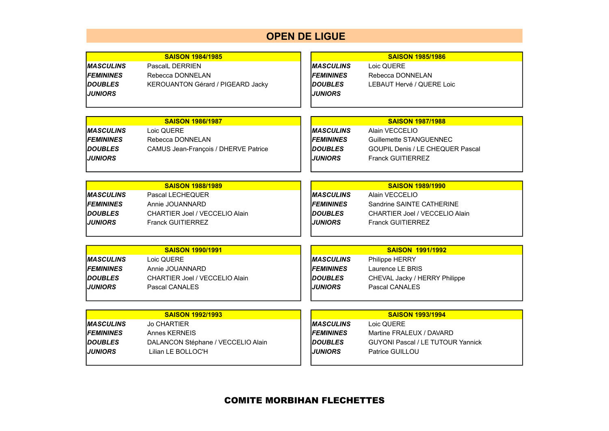## **OPEN DE LIGUE**

|                   | <b>SAISON 1984/1985</b>               |                   | <b>SAISON 1985/1986</b>                  |
|-------------------|---------------------------------------|-------------------|------------------------------------------|
| <b>IMASCULINS</b> | <b>PascalL DERRIEN</b>                | <b>MASCULINS</b>  | Loic QUERE                               |
| <b>FEMININES</b>  | Rebecca DONNELAN                      | <b>FEMININES</b>  | Rebecca DONNELAN                         |
| <b>DOUBLES</b>    | KEROUANTON Gérard / PIGEARD Jacky     | <b>DOUBLES</b>    | LEBAUT Hervé / QUERE Loic                |
| <b>IJUNIORS</b>   |                                       | <b>JUNIORS</b>    |                                          |
|                   |                                       |                   |                                          |
|                   |                                       |                   |                                          |
|                   | <b>SAISON 1986/1987</b>               |                   | <b>SAISON 1987/1988</b>                  |
| IMASCULINS        | Loic QUERE                            | <b>MASCULINS</b>  | Alain VECCELIO                           |
| <b>IFEMININES</b> | Rebecca DONNELAN                      | <b>FEMININES</b>  | Guillemette STANGUENNEC                  |
| <b>IDOUBLES</b>   | CAMUS Jean-François / DHERVE Patrice  | <b>DOUBLES</b>    | GOUPIL Denis / LE CHEQUER Pascal         |
| <b>JUNIORS</b>    |                                       | <b>JUNIORS</b>    | <b>Franck GUITIERREZ</b>                 |
|                   |                                       |                   |                                          |
|                   | <b>SAISON 1988/1989</b>               |                   | <b>SAISON 1989/1990</b>                  |
| <b>MASCULINS</b>  | Pascal LECHEQUER                      | <b>MASCULINS</b>  | Alain VECCELIO                           |
| <b>IFEMININES</b> | Annie JOUANNARD                       | <b>FEMININES</b>  | Sandrine SAINTE CATHERINE                |
| <b>IDOUBLES</b>   | <b>CHARTIER Joel / VECCELIO Alain</b> | <b>DOUBLES</b>    | <b>CHARTIER Joel / VECCELIO Alain</b>    |
| <b>IJUNIORS</b>   | <b>Franck GUITIERREZ</b>              | <b>JUNIORS</b>    | <b>Franck GUITIERREZ</b>                 |
|                   |                                       |                   |                                          |
|                   |                                       |                   |                                          |
|                   | <b>SAISON 1990/1991</b>               |                   | <b>SAISON 1991/1992</b>                  |
| <b>IMASCULINS</b> | Loic QUERE                            | <b>IMASCULINS</b> | <b>Philippe HERRY</b>                    |
| <b>FEMININES</b>  | Annie JOUANNARD                       | <b>FEMININES</b>  | Laurence LE BRIS                         |
| <b>DOUBLES</b>    | CHARTIER Joel / VECCELIO Alain        | <b>DOUBLES</b>    | CHEVAL Jacky / HERRY Philippe            |
| <b>JUNIORS</b>    | Pascal CANALES                        | <b>JUNIORS</b>    | Pascal CANALES                           |
|                   |                                       |                   |                                          |
|                   | <b>SAISON 1992/1993</b>               |                   | <b>SAISON 1993/1994</b>                  |
| <b>MASCULINS</b>  | <b>Jo CHARTIER</b>                    | <b>MASCULINS</b>  | Loic QUERE                               |
| <b>IFEMININES</b> | Annes KERNEIS                         | <b>FEMININES</b>  | Martine FRALEUX / DAVARD                 |
| <b>IDOUBLES</b>   | DALANCON Stéphane / VECCELIO Alain    | <b>DOUBLES</b>    | <b>GUYONI Pascal / LE TUTOUR Yannick</b> |
| <b>JUNIORS</b>    | Lilian LE BOLLOC'H                    | <b>JUNIORS</b>    | Patrice GUILLOU                          |
|                   |                                       |                   |                                          |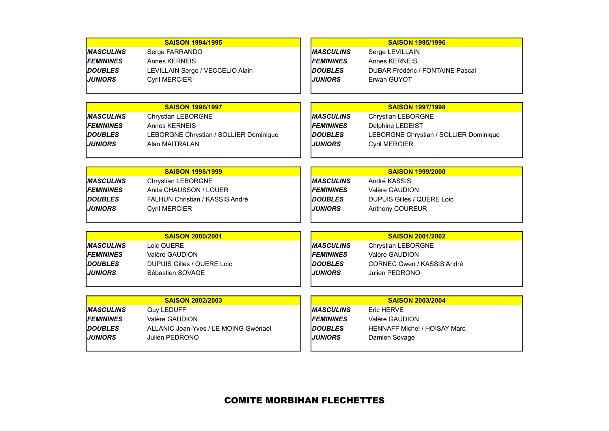|                         | <b>SAISON 1994/1995</b>                |                  | <b>SAISON 1995/1996</b>                |
|-------------------------|----------------------------------------|------------------|----------------------------------------|
| <b>IMASCULINS</b>       | Serge FARRANDO                         | <b>MASCULINS</b> | Serge LEVILLAIN                        |
| <b>FEMININES</b>        | Annes KERNEIS                          | <b>FEMININES</b> | Annes KERNEIS                          |
| <b>IDOUBLES</b>         | LEVILLAIN Serge / VECCELIO Alain       | <b>DOUBLES</b>   | DUBAR Frédéric / FONTAINE Pascal       |
| <b>JUNIORS</b>          | <b>Cyril MERCIER</b>                   | <b>JUNIORS</b>   | Erwan GUYOT                            |
|                         |                                        |                  |                                        |
|                         |                                        |                  |                                        |
|                         | <b>SAISON 1996/1997</b>                |                  | <b>SAISON 1997/1998</b>                |
| <b>IMASCULINS</b>       | <b>Chrystian LEBORGNE</b>              | <b>MASCULINS</b> | <b>Chrystian LEBORGNE</b>              |
| <b>IFEMININES</b>       | Annes KERNEIS                          | <b>FEMININES</b> | Delphine LEDEIST                       |
| <b>IDOUBLES</b>         | LEBORGNE Chrystian / SOLLIER Dominique | <b>DOUBLES</b>   | LEBORGNE Chrystian / SOLLIER Dominique |
| <b>JUNIORS</b>          | Alan MAITRALAN                         | <b>JUNIORS</b>   | <b>Cyril MERCIER</b>                   |
|                         |                                        |                  |                                        |
|                         | <b>SAISON 1998/1999</b>                |                  | <b>SAISON 1999/2000</b>                |
| <i><b>MASCULINS</b></i> | Chrystian LEBORGNE                     | <b>MASCULINS</b> | André KASSIS                           |
| <b>FEMININES</b>        | Anita CHAUSSON / LOUER                 | <b>FEMININES</b> | Valère GAUDION                         |
| <b>IDOUBLES</b>         | <b>FALHUN Christian / KASSIS André</b> | <b>DOUBLES</b>   | <b>DUPUIS Gilles / QUERE Loic</b>      |
| <b>JUNIORS</b>          | <b>Cyril MERCIER</b>                   | <b>JUNIORS</b>   | Anthony COUREUR                        |
|                         |                                        |                  |                                        |
|                         |                                        |                  |                                        |
|                         | <b>SAISON 2000/2001</b>                |                  | <b>SAISON 2001/2002</b>                |
| <b>IMASCULINS</b>       | Loic QUERE                             | <b>MASCULINS</b> | Chrystian LEBORGNE                     |
| <b>FEMININES</b>        | Valère GAUDION                         | <b>FEMININES</b> | Valère GAUDION                         |
| <b>IDOUBLES</b>         | <b>DUPUIS Gilles / QUERE Loic</b>      | <b>DOUBLES</b>   | CORNEC Gwen / KASSIS André             |
| <b>JUNIORS</b>          | Sébastien SOVAGE                       | <b>JUNIORS</b>   | Julien PEDRONO                         |
|                         |                                        |                  |                                        |
|                         | <b>SAISON 2002/2003</b>                |                  | <b>SAISON 2003/2004</b>                |
| <b>IMASCULINS</b>       | <b>Guy LEDUFF</b>                      | <b>MASCULINS</b> | <b>Eric HERVE</b>                      |
| <b>IFEMININES</b>       | Valère GAUDION                         | <b>FEMININES</b> | Valère GAUDION                         |
| <b>DOUBLES</b>          | ALLANIC Jean-Yves / LE MOING Gwénael   | <b>DOUBLES</b>   | <b>HENNAFF Michel / HOISAY Marc</b>    |
| <b>JUNIORS</b>          | Julien PEDRONO                         | <b>JUNIORS</b>   | Damien Sovage                          |
|                         |                                        |                  |                                        |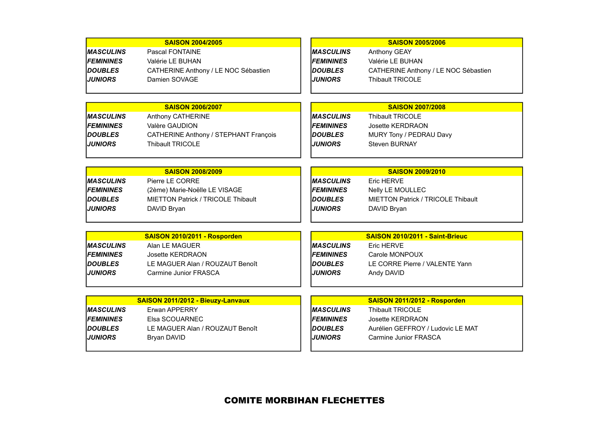|                         | <b>SAISON 2004/2005</b>               |                   | <b>SAISON 2005/2006</b>                   |
|-------------------------|---------------------------------------|-------------------|-------------------------------------------|
| <i><b>MASCULINS</b></i> | Pascal FONTAINE                       | <b>MASCULINS</b>  | Anthony GEAY                              |
| <b>IFEMININES</b>       | Valérie LE BUHAN                      | <b>FEMININES</b>  | Valérie LE BUHAN                          |
| <b>DOUBLES</b>          | CATHERINE Anthony / LE NOC Sébastien  | <b>DOUBLES</b>    | CATHERINE Anthony / LE NOC Sébastien      |
| <b>JUNIORS</b>          | Damien SOVAGE                         | <b>JUNIORS</b>    | <b>Thibault TRICOLE</b>                   |
|                         |                                       |                   |                                           |
|                         |                                       |                   |                                           |
|                         | <b>SAISON 2006/2007</b>               |                   | <b>SAISON 2007/2008</b>                   |
| <b>MASCULINS</b>        | Anthony CATHERINE                     | <b>MASCULINS</b>  | <b>Thibault TRICOLE</b>                   |
| <b>FEMININES</b>        | Valère GAUDION                        | <b>FEMININES</b>  | Josette KERDRAON                          |
| <b>DOUBLES</b>          | CATHERINE Anthony / STEPHANT François | <b>DOUBLES</b>    | MURY Tony / PEDRAU Davy                   |
| <b>JUNIORS</b>          | <b>Thibault TRICOLE</b>               | <b>JUNIORS</b>    | <b>Steven BURNAY</b>                      |
|                         |                                       |                   |                                           |
|                         |                                       |                   |                                           |
|                         | <b>SAISON 2008/2009</b>               |                   | <b>SAISON 2009/2010</b>                   |
| <b>MASCULINS</b>        | Pierre LE CORRE                       | <b>MASCULINS</b>  | Eric HERVE                                |
| <b>FEMININES</b>        | (2ème) Marie-Noëlle LE VISAGE         | <b>FEMININES</b>  | Nelly LE MOULLEC                          |
| <b>DOUBLES</b>          | MIETTON Patrick / TRICOLE Thibault    | <b>DOUBLES</b>    | <b>MIETTON Patrick / TRICOLE Thibault</b> |
| <b>JUNIORS</b>          | DAVID Bryan                           | <b>JUNIORS</b>    | DAVID Bryan                               |
|                         |                                       |                   |                                           |
|                         | SAISON 2010/2011 - Rosporden          |                   | SAISON 2010/2011 - Saint-Brieuc           |
| <b>IMASCULINS</b>       | Alan LE MAGUER                        | <b>MASCULINS</b>  | Eric HERVE                                |
| <b>FEMININES</b>        | Josette KERDRAON                      | <b>FEMININES</b>  | Carole MONPOUX                            |
| <b>DOUBLES</b>          | LE MAGUER Alan / ROUZAUT Benoît       | <b>DOUBLES</b>    | LE CORRE Pierre / VALENTE Yann            |
| <b>JUNIORS</b>          | Carmine Junior FRASCA                 | <b>JUNIORS</b>    | Andy DAVID                                |
|                         |                                       |                   |                                           |
|                         |                                       |                   |                                           |
|                         | SAISON 2011/2012 - Bieuzy-Lanvaux     |                   | SAISON 2011/2012 - Rosporden              |
| IMASCULINS              | Erwan APPERRY                         | <b>IMASCULINS</b> | <b>Thibault TRICOLE</b>                   |
| <b>FEMININES</b>        | Elsa SCOUARNEC                        | <b>FEMININES</b>  | <b>Josette KERDRAON</b>                   |
| <b>DOUBLES</b>          | LE MAGUER Alan / ROUZAUT Benoît       | <b>DOUBLES</b>    | Aurélien GEFFROY / Ludovic LE MAT         |
| <b>JUNIORS</b>          | Bryan DAVID                           | <b>JUNIORS</b>    | Carmine Junior FRASCA                     |
|                         |                                       |                   |                                           |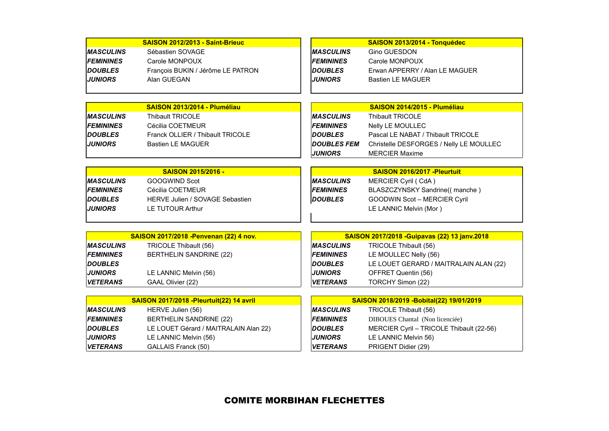|                   | SAISON 2012/2013 - Saint-Brieuc                 |                    | SAISON 2013/2014 - Tonquédec                  |
|-------------------|-------------------------------------------------|--------------------|-----------------------------------------------|
| <b>IMASCULINS</b> | Sébastien SOVAGE                                | <b>MASCULINS</b>   | <b>Gino GUESDON</b>                           |
| <b>FEMININES</b>  | Carole MONPOUX                                  | <b>FEMININES</b>   | Carole MONPOUX                                |
| <b>IDOUBLES</b>   | François BUKIN / Jérôme LE PATRON               | <b>DOUBLES</b>     | Erwan APPERRY / Alan LE MAGUER                |
| <b>JUNIORS</b>    | Alan GUEGAN                                     | <b>JUNIORS</b>     | <b>Bastien LE MAGUER</b>                      |
|                   |                                                 |                    |                                               |
|                   |                                                 |                    |                                               |
|                   | SAISON 2013/2014 - Pluméliau                    |                    | SAISON 2014/2015 - Pluméliau                  |
| <b>MASCULINS</b>  | <b>Thibault TRICOLE</b>                         | <b>MASCULINS</b>   | <b>Thibault TRICOLE</b>                       |
| <b>IFEMININES</b> | Cécilia COETMEUR                                | <b>FEMININES</b>   | Nelly LE MOULLEC                              |
| <b>DOUBLES</b>    | Franck OLLIER / Thibault TRICOLE                | <b>DOUBLES</b>     | Pascal LE NABAT / Thibault TRICOLE            |
| <b>IJUNIORS</b>   | <b>Bastien LE MAGUER</b>                        | <b>DOUBLES FEM</b> | Christelle DESFORGES / Nelly LE MOULLEC       |
|                   |                                                 | <b>JUNIORS</b>     | <b>MERCIER Maxime</b>                         |
|                   |                                                 |                    |                                               |
|                   | <b>SAISON 2015/2016 -</b>                       |                    | SAISON 2016/2017 - Pleurtuit                  |
| <b>IMASCULINS</b> | <b>GOOGWIND Scot</b>                            | <b>MASCULINS</b>   | MERCIER Cyril (CdA)                           |
| <b>FEMININES</b>  | Cécilia COETMEUR                                | <b>FEMININES</b>   | BLASZCZYNSKY Sandrine((manche)                |
| <b>IDOUBLES</b>   | <b>HERVE Julien / SOVAGE Sebastien</b>          | <b>DOUBLES</b>     | <b>GOODWIN Scot - MERCIER Cyril</b>           |
| <b>JUNIORS</b>    | LE TUTOUR Arthur                                |                    | LE LANNIC Melvin (Mor)                        |
|                   |                                                 |                    |                                               |
|                   |                                                 |                    |                                               |
|                   | <b>SAISON 2017/2018 - Penvenan (22) 4 nov.</b>  |                    | SAISON 2017/2018 - Guipavas (22) 13 janv.2018 |
| <b>MASCULINS</b>  | TRICOLE Thibault (56)                           | <b>MASCULINS</b>   | TRICOLE Thibault (56)                         |
| <b>FEMININES</b>  | <b>BERTHELIN SANDRINE (22)</b>                  | <b>FEMININES</b>   | LE MOULLEC Nelly (56)                         |
| <b>DOUBLES</b>    |                                                 | <b>DOUBLES</b>     | LE LOUET GERARD / MAITRALAIN ALAN (22)        |
| <b>JUNIORS</b>    | LE LANNIC Melvin (56)                           | <b>JUNIORS</b>     | OFFRET Quentin (56)                           |
| <b>VETERANS</b>   | GAAL Olivier (22)                               | <b>VETERANS</b>    | TORCHY Simon (22)                             |
|                   |                                                 |                    |                                               |
|                   | <b>SAISON 2017/2018 -Pleurtuit(22) 14 avril</b> |                    | SAISON 2018/2019 - Bobital(22) 19/01/2019     |
| <b>MASCULINS</b>  | HERVE Julien (56)                               | <b>MASCULINS</b>   | TRICOLE Thibault (56)                         |
| <b>FEMININES</b>  | <b>BERTHELIN SANDRINE (22)</b>                  | <b>FEMININES</b>   | DIBOUES Chantal (Non licenciée)               |
| <b>DOUBLES</b>    | LE LOUET Gérard / MAITRALAIN Alan 22)           | <b>DOUBLES</b>     | MERCIER Cyril - TRICOLE Thibault (22-56)      |
| <b>JUNIORS</b>    | LE LANNIC Melvin (56)                           | <b>JUNIORS</b>     | LE LANNIC Melvin 56)                          |
| <b>VETERANS</b>   | GALLAIS Franck (50)                             | <b>VETERANS</b>    | PRIGENT Didier (29)                           |